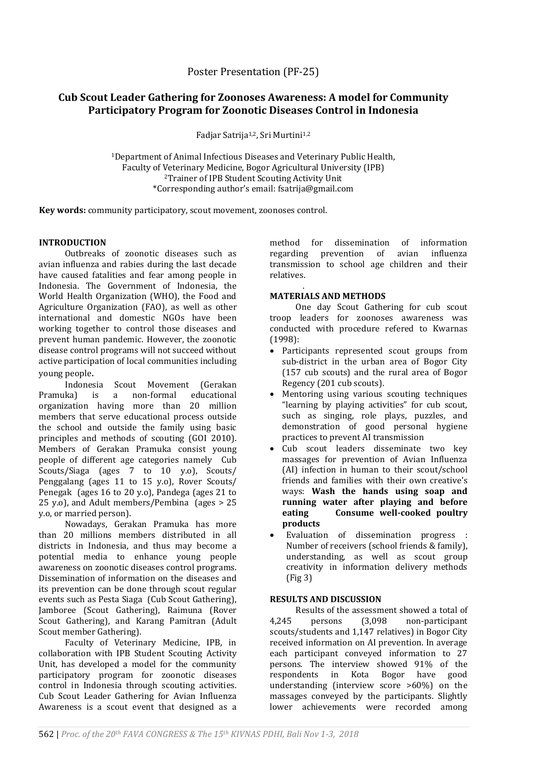# **Cub Scout Leader Gathering for Zoonoses Awareness: A model for Community Participatory Program for Zoonotic Diseases Control in Indonesia**

Fadjar Satrija<sup>1,2</sup>, Sri Murtini<sup>1,2</sup>

<sup>1</sup>Department of Animal Infectious Diseases and Veterinary Public Health, Faculty of Veterinary Medicine, Bogor Agricultural University (IPB) <sup>2</sup>Trainer of IPB Student Scouting Activity Unit \*Corresponding author's email: fsatrija@gmail.com

**Key words:** community participatory, scout movement, zoonoses control.

# **INTRODUCTION**

Outbreaks of zoonotic diseases such as avian influenza and rabies during the last decade have caused fatalities and fear among people in Indonesia. The Government of Indonesia, the World Health Organization (WHO), the Food and Agriculture Organization (FAO), as well as other international and domestic NGOs have been working together to control those diseases and prevent human pandemic. However, the zoonotic disease control programs will not succeed without active participation of local communities including young people.

Indonesia Scout Movement (Gerakan<br>Ika) is a non-formal educational Pramuka) is a non-formal organization having more than 20 million members that serve educational process outside the school and outside the family using basic principles and methods of scouting (GOI 2010). Members of Gerakan Pramuka consist young people of different age categories namely Cub Scouts/Siaga (ages 7 to 10 y.o), Scouts/ Penggalang (ages 11 to 15 y.o), Rover Scouts/ Penegak (ages 16 to 20 y.o), Pandega (ages 21 to 25 y.o), and Adult members/Pembina (ages > 25 y.o, or married person).

Nowadays, Gerakan Pramuka has more than 20 millions members distributed in all districts in Indonesia, and thus may become a potential media to enhance young people awareness on zoonotic diseases control programs. Dissemination of information on the diseases and its prevention can be done through scout regular events such as Pesta Siaga (Cub Scout Gathering), Jamboree (Scout Gathering), Raimuna (Rover Scout Gathering), and Karang Pamitran (Adult Scout member Gathering).

Faculty of Veterinary Medicine, IPB, in collaboration with IPB Student Scouting Activity Unit, has developed a model for the community participatory program for zoonotic diseases control in Indonesia through scouting activities. Cub Scout Leader Gathering for Avian Influenza Awareness is a scout event that designed as a method for dissemination of information regarding prevention of avian influenza transmission to school age children and their relatives.

#### . **MATERIALS AND METHODS**

One day Scout Gathering for cub scout troop leaders for zoonoses awareness was conducted with procedure refered to Kwarnas (1998):

- Participants represented scout groups from sub-district in the urban area of Bogor City (157 cub scouts) and the rural area of Bogor Regency (201 cub scouts).
- Mentoring using various scouting techniques "learning by playing activities" for cub scout, such as singing, role plays, puzzles, and demonstration of good personal hygiene practices to prevent AI transmission
- Cub scout leaders disseminate two key massages for prevention of Avian Influenza (AI) infection in human to their scout/school friends and families with their own creative's ways: **Wash the hands using soap and running water after playing and before eating Consume well-cooked poultry products**
- Evaluation of dissemination progress : Number of receivers (school friends & family), understanding, as well as scout group creativity in information delivery methods (Fig 3)

# **RESULTS AND DISCUSSION**

Results of the assessment showed a total of 4,245 persons (3,098 non-participant scouts/students and 1,147 relatives) in Bogor City received information on AI prevention. In average each participant conveyed information to 27 persons. The interview showed 91% of the respondents in Kota Bogor have good understanding (interview score >60%) on the massages conveyed by the participants. Slightly lower achievements were recorded among